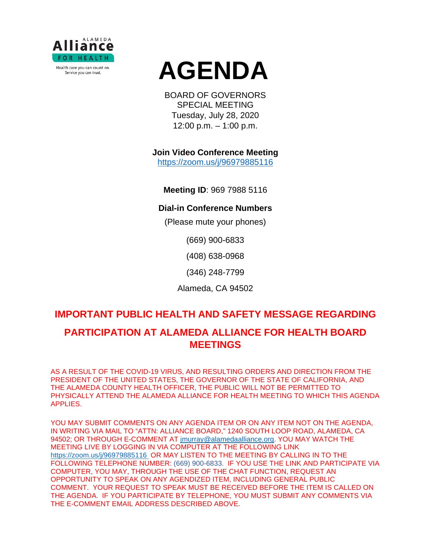

# **AGENDA**

BOARD OF GOVERNORS SPECIAL MEETING Tuesday, July 28, 2020 12:00 p.m. – 1:00 p.m.

**Join Video Conference Meeting**

<https://zoom.us/j/96979885116>

**Meeting ID**: 969 7988 5116

### **Dial-in Conference Numbers**

(Please mute your phones)

(669) 900-6833

(408) 638-0968

(346) 248-7799

Alameda, CA 94502

# **IMPORTANT PUBLIC HEALTH AND SAFETY MESSAGE REGARDING PARTICIPATION AT ALAMEDA ALLIANCE FOR HEALTH BOARD MEETINGS**

AS A RESULT OF THE COVID-19 VIRUS, AND RESULTING ORDERS AND DIRECTION FROM THE PRESIDENT OF THE UNITED STATES, THE GOVERNOR OF THE STATE OF CALIFORNIA, AND THE ALAMEDA COUNTY HEALTH OFFICER, THE PUBLIC WILL NOT BE PERMITTED TO PHYSICALLY ATTEND THE ALAMEDA ALLIANCE FOR HEALTH MEETING TO WHICH THIS AGENDA APPLIES.

YOU MAY SUBMIT COMMENTS ON ANY AGENDA ITEM OR ON ANY ITEM NOT ON THE AGENDA, IN WRITING VIA MAIL TO "ATTN: ALLIANCE BOARD," 1240 SOUTH LOOP ROAD, ALAMEDA, CA 94502; OR THROUGH E-COMMENT AT [jmurray@alamedaalliance.org.](mailto:jmurray@alamedaalliance.org) YOU MAY WATCH THE MEETING LIVE BY LOGGING IN VIA COMPUTER AT THE FOLLOWING LINK <https://zoom.us/j/96979885116> OR MAY LISTEN TO THE MEETING BY CALLING IN TO THE FOLLOWING TELEPHONE NUMBER: (669) 900-6833. IF YOU USE THE LINK AND PARTICIPATE VIA COMPUTER, YOU MAY, THROUGH THE USE OF THE CHAT FUNCTION, REQUEST AN OPPORTUNITY TO SPEAK ON ANY AGENDIZED ITEM, INCLUDING GENERAL PUBLIC COMMENT. YOUR REQUEST TO SPEAK MUST BE RECEIVED BEFORE THE ITEM IS CALLED ON THE AGENDA. IF YOU PARTICIPATE BY TELEPHONE, YOU MUST SUBMIT ANY COMMENTS VIA THE E-COMMENT EMAIL ADDRESS DESCRIBED ABOVE.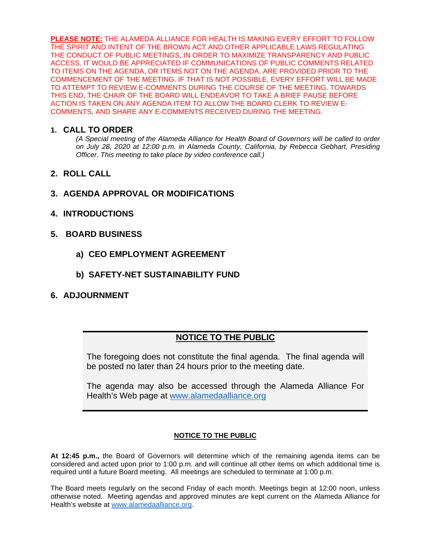**PLEASE NOTE:** THE ALAMEDA ALLIANCE FOR HEALTH IS MAKING EVERY EFFORT TO FOLLOW THE SPIRIT AND INTENT OF THE BROWN ACT AND OTHER APPLICABLE LAWS REGULATING THE CONDUCT OF PUBLIC MEETINGS, IN ORDER TO MAXIMIZE TRANSPARENCY AND PUBLIC ACCESS. IT WOULD BE APPRECIATED IF COMMUNICATIONS OF PUBLIC COMMENTS RELATED TO ITEMS ON THE AGENDA, OR ITEMS NOT ON THE AGENDA, ARE PROVIDED PRIOR TO THE COMMENCEMENT OF THE MEETING. IF THAT IS NOT POSSIBLE, EVERY EFFORT WILL BE MADE TO ATTEMPT TO REVIEW E-COMMENTS DURING THE COURSE OF THE MEETING. TOWARDS THIS END, THE CHAIR OF THE BOARD WILL ENDEAVOR TO TAKE A BRIEF PAUSE BEFORE ACTION IS TAKEN ON ANY AGENDA ITEM TO ALLOW THE BOARD CLERK TO REVIEW E-COMMENTS, AND SHARE ANY E-COMMENTS RECEIVED DURING THE MEETING.

#### **1. CALL TO ORDER**

*(A Special meeting of the Alameda Alliance for Health Board of Governors will be called to order on July 28, 2020 at 12:00 p.m. in Alameda County, California, by Rebecca Gebhart, Presiding Officer. This meeting to take place by video conference call.)*

- **2. ROLL CALL**
- **3. AGENDA APPROVAL OR MODIFICATIONS**
- **4. INTRODUCTIONS**
- **5. BOARD BUSINESS**
	- **a) CEO EMPLOYMENT AGREEMENT**
	- **b) SAFETY-NET SUSTAINABILITY FUND**
- **6. ADJOURNMENT**

## **NOTICE TO THE PUBLIC**

The foregoing does not constitute the final agenda. The final agenda will be posted no later than 24 hours prior to the meeting date.

The agenda may also be accessed through the Alameda Alliance For Health's Web page at [www.alamedaalliance.org](http://www.alamedaalliance.org/)

#### **NOTICE TO THE PUBLIC**

**At 12:45 p.m.,** the Board of Governors will determine which of the remaining agenda items can be considered and acted upon prior to 1:00 p.m. and will continue all other items on which additional time is required until a future Board meeting. All meetings are scheduled to terminate at 1:00 p.m.

The Board meets regularly on the second Friday of each month. Meetings begin at 12:00 noon, unless otherwise noted. Meeting agendas and approved minutes are kept current on the Alameda Alliance for Health's website at [www.alamedaalliance.org.](http://www.alamedaalliance.org/)